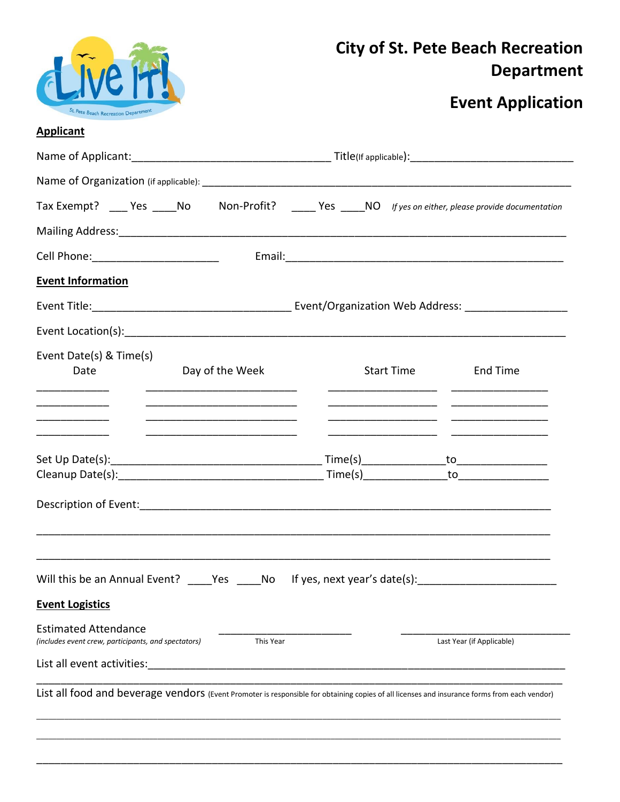

### **City of St. Pete Beach Recreation Department**

## **Event Application**

### **Applicant**

|                                                                                                                                                              |           |                 |                           |            |  |          | Tax Exempt? ____ Yes _____ No Mon-Profit? _____ Yes _____ NO If yes on either, please provide documentation                                  |  |  |  |  |  |
|--------------------------------------------------------------------------------------------------------------------------------------------------------------|-----------|-----------------|---------------------------|------------|--|----------|----------------------------------------------------------------------------------------------------------------------------------------------|--|--|--|--|--|
|                                                                                                                                                              |           |                 |                           |            |  |          | Mailing Address: 1988 Communication of the Address of Address Communication of the Address Communication of the                              |  |  |  |  |  |
|                                                                                                                                                              |           |                 |                           |            |  |          |                                                                                                                                              |  |  |  |  |  |
| <b>Event Information</b>                                                                                                                                     |           |                 |                           |            |  |          |                                                                                                                                              |  |  |  |  |  |
|                                                                                                                                                              |           |                 |                           |            |  |          |                                                                                                                                              |  |  |  |  |  |
|                                                                                                                                                              |           |                 |                           |            |  |          |                                                                                                                                              |  |  |  |  |  |
| Event Date(s) & Time(s)<br>Date<br><u> 1989 - Johann Barn, mars eta bat eta bat e</u>                                                                        |           | Day of the Week |                           | Start Time |  | End Time |                                                                                                                                              |  |  |  |  |  |
|                                                                                                                                                              |           |                 |                           |            |  |          |                                                                                                                                              |  |  |  |  |  |
| Will this be an Annual Event? ____Yes _____No lf yes, next year's date(s): ________________________<br><b>Event Logistics</b><br><b>Estimated Attendance</b> |           |                 |                           |            |  |          |                                                                                                                                              |  |  |  |  |  |
| (includes event crew, participants, and spectators)                                                                                                          | This Year |                 | Last Year (if Applicable) |            |  |          |                                                                                                                                              |  |  |  |  |  |
| List all event activities:                                                                                                                                   |           |                 |                           |            |  |          |                                                                                                                                              |  |  |  |  |  |
|                                                                                                                                                              |           |                 |                           |            |  |          | List all food and beverage vendors (Event Promoter is responsible for obtaining copies of all licenses and insurance forms from each vendor) |  |  |  |  |  |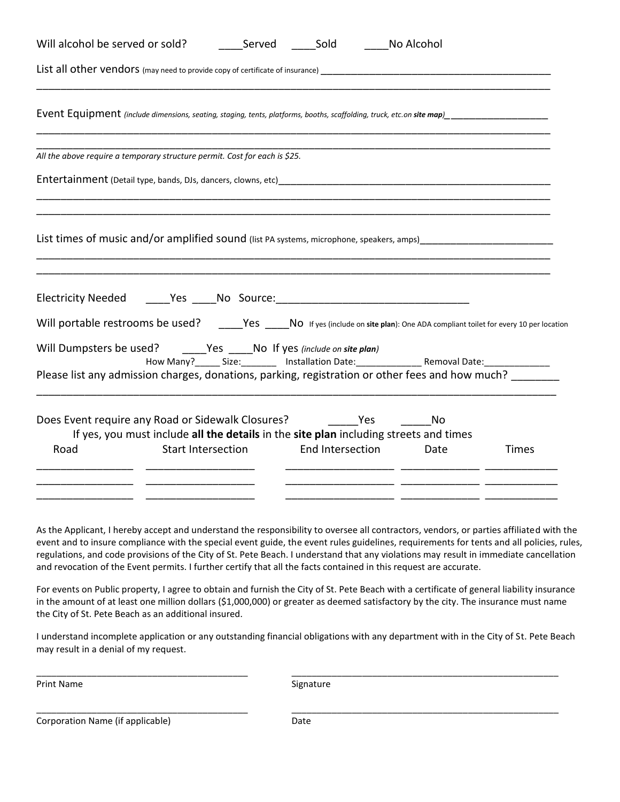| Will alcohol be served or sold? Served Sold No Alcohol                                                                                                                                                                                                                                                          |                                                                                                             |  |                  |      |              |
|-----------------------------------------------------------------------------------------------------------------------------------------------------------------------------------------------------------------------------------------------------------------------------------------------------------------|-------------------------------------------------------------------------------------------------------------|--|------------------|------|--------------|
|                                                                                                                                                                                                                                                                                                                 |                                                                                                             |  |                  |      |              |
| Event Equipment (include dimensions, seating, staging, tents, platforms, booths, scaffolding, truck, etc.on site map)<br>Laterage map and the map and truck of the map (in the map)                                                                                                                             |                                                                                                             |  |                  |      |              |
| All the above require a temporary structure permit. Cost for each is \$25.                                                                                                                                                                                                                                      |                                                                                                             |  |                  |      |              |
| Entertainment (Detail type, bands, DJs, dancers, clowns, etc)                                                                                                                                                                                                                                                   |                                                                                                             |  |                  |      |              |
| List times of music and/or amplified sound (list PA systems, microphone, speakers, amps)                                                                                                                                                                                                                        |                                                                                                             |  |                  |      |              |
| Will portable restrooms be used? _____Yes ____No If yes (include on site plan): One ADA compliant toilet for every 10 per location<br>Will Dumpsters be used? ______Yes ____No If yes (include on site plan)<br>Please list any admission charges, donations, parking, registration or other fees and how much? |                                                                                                             |  |                  |      |              |
| Does Event require any Road or Sidewalk Closures? The Mesang Mo<br>Road                                                                                                                                                                                                                                         | If yes, you must include all the details in the site plan including streets and times<br>Start Intersection |  | End Intersection | Date | <b>Times</b> |

As the Applicant, I hereby accept and understand the responsibility to oversee all contractors, vendors, or parties affiliated with the event and to insure compliance with the special event guide, the event rules guidelines, requirements for tents and all policies, rules, regulations, and code provisions of the City of St. Pete Beach. I understand that any violations may result in immediate cancellation and revocation of the Event permits. I further certify that all the facts contained in this request are accurate.

For events on Public property, I agree to obtain and furnish the City of St. Pete Beach with a certificate of general liability insurance in the amount of at least one million dollars (\$1,000,000) or greater as deemed satisfactory by the city. The insurance must name the City of St. Pete Beach as an additional insured.

I understand incomplete application or any outstanding financial obligations with any department with in the City of St. Pete Beach may result in a denial of my request.

\_\_\_\_\_\_\_\_\_\_\_\_\_\_\_\_\_\_\_\_\_\_\_\_\_\_\_\_\_\_\_\_\_\_\_\_\_\_\_\_\_\_ \_\_\_\_\_\_\_\_\_\_\_\_\_\_\_\_\_\_\_\_\_\_\_\_\_\_\_\_\_\_\_\_\_\_\_\_\_\_\_\_\_\_\_\_\_\_\_\_\_\_\_\_\_

Print Name Signature

Corporation Name (if applicable) and the corporation Date

\_\_\_\_\_\_\_\_\_\_\_\_\_\_\_\_\_\_\_\_\_\_\_\_\_\_\_\_\_\_\_\_\_\_\_\_\_\_\_\_\_\_ \_\_\_\_\_\_\_\_\_\_\_\_\_\_\_\_\_\_\_\_\_\_\_\_\_\_\_\_\_\_\_\_\_\_\_\_\_\_\_\_\_\_\_\_\_\_\_\_\_\_\_\_\_